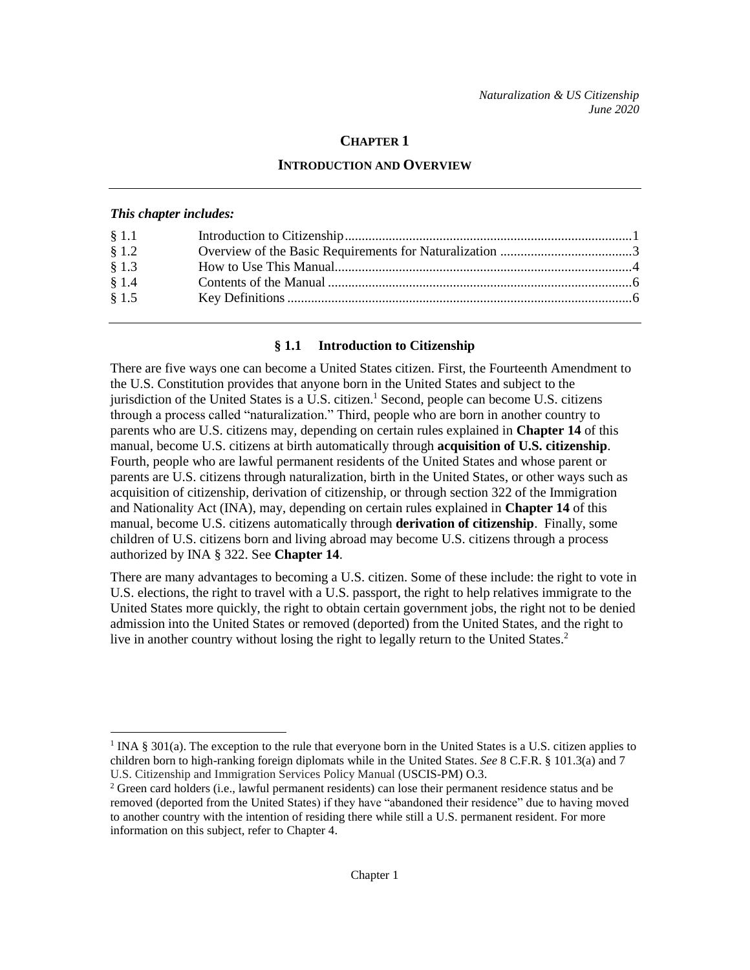## **CHAPTER 1**

### **INTRODUCTION AND OVERVIEW**

#### *This chapter includes:*

 $\overline{a}$ 

| § 1.1   |  |
|---------|--|
| \$1.2   |  |
| § 1.3   |  |
| § 1.4   |  |
| $§$ 1.5 |  |
|         |  |

#### **§ 1.1 Introduction to Citizenship**

There are five ways one can become a United States citizen. First, the Fourteenth Amendment to the U.S. Constitution provides that anyone born in the United States and subject to the jurisdiction of the United States is a U.S. citizen.<sup>1</sup> Second, people can become U.S. citizens through a process called "naturalization." Third, people who are born in another country to parents who are U.S. citizens may, depending on certain rules explained in **Chapter 14** of this manual, become U.S. citizens at birth automatically through **acquisition of U.S. citizenship**. Fourth, people who are lawful permanent residents of the United States and whose parent or parents are U.S. citizens through naturalization, birth in the United States, or other ways such as acquisition of citizenship, derivation of citizenship, or through section 322 of the Immigration and Nationality Act (INA), may, depending on certain rules explained in **Chapter 14** of this manual, become U.S. citizens automatically through **derivation of citizenship**. Finally, some children of U.S. citizens born and living abroad may become U.S. citizens through a process authorized by INA § 322. See **Chapter 14**.

There are many advantages to becoming a U.S. citizen. Some of these include: the right to vote in U.S. elections, the right to travel with a U.S. passport, the right to help relatives immigrate to the United States more quickly, the right to obtain certain government jobs, the right not to be denied admission into the United States or removed (deported) from the United States, and the right to live in another country without losing the right to legally return to the United States. 2

<sup>&</sup>lt;sup>1</sup> INA § 301(a). The exception to the rule that everyone born in the United States is a U.S. citizen applies to children born to high-ranking foreign diplomats while in the United States. *See* 8 C.F.R. § 101.3(a) and 7 U.S. Citizenship and Immigration Services Policy Manual (USCIS-PM) O.3.

<sup>&</sup>lt;sup>2</sup> Green card holders (i.e., lawful permanent residents) can lose their permanent residence status and be removed (deported from the United States) if they have "abandoned their residence" due to having moved to another country with the intention of residing there while still a U.S. permanent resident. For more information on this subject, refer to Chapter 4.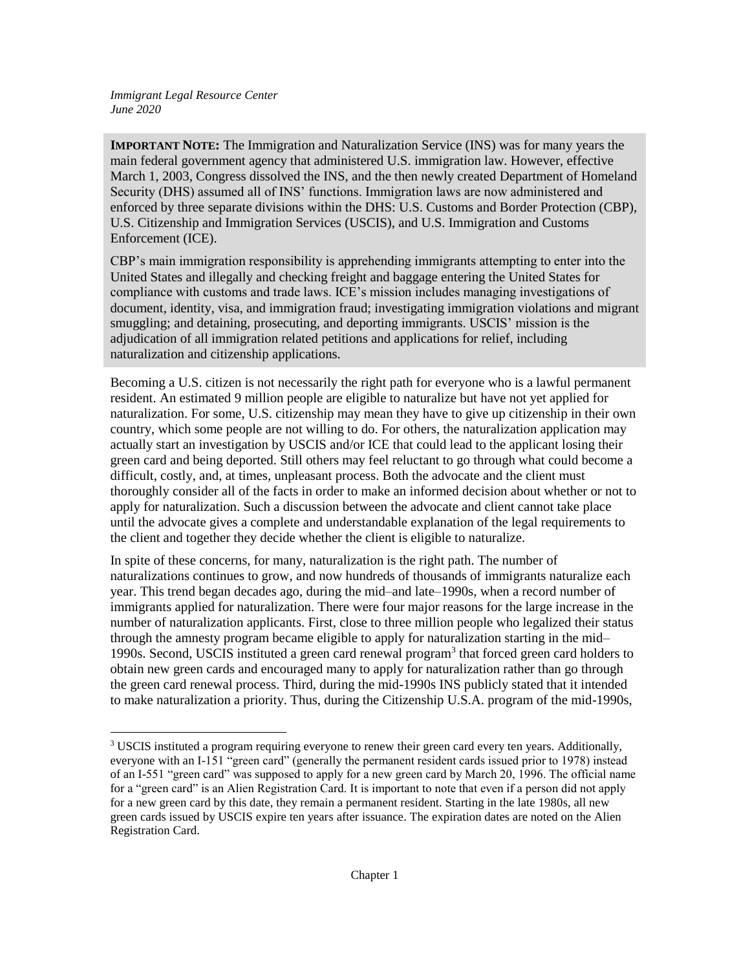$\overline{a}$ 

**IMPORTANT NOTE:** The Immigration and Naturalization Service (INS) was for many years the main federal government agency that administered U.S. immigration law. However, effective March 1, 2003, Congress dissolved the INS, and the then newly created Department of Homeland Security (DHS) assumed all of INS' functions. Immigration laws are now administered and enforced by three separate divisions within the DHS: U.S. Customs and Border Protection (CBP), U.S. Citizenship and Immigration Services (USCIS), and U.S. Immigration and Customs Enforcement (ICE).

CBP's main immigration responsibility is apprehending immigrants attempting to enter into the United States and illegally and checking freight and baggage entering the United States for compliance with customs and trade laws. ICE's mission includes managing investigations of document, identity, visa, and immigration fraud; investigating immigration violations and migrant smuggling; and detaining, prosecuting, and deporting immigrants. USCIS' mission is the adjudication of all immigration related petitions and applications for relief, including naturalization and citizenship applications.

Becoming a U.S. citizen is not necessarily the right path for everyone who is a lawful permanent resident. An estimated 9 million people are eligible to naturalize but have not yet applied for naturalization. For some, U.S. citizenship may mean they have to give up citizenship in their own country, which some people are not willing to do. For others, the naturalization application may actually start an investigation by USCIS and/or ICE that could lead to the applicant losing their green card and being deported. Still others may feel reluctant to go through what could become a difficult, costly, and, at times, unpleasant process. Both the advocate and the client must thoroughly consider all of the facts in order to make an informed decision about whether or not to apply for naturalization. Such a discussion between the advocate and client cannot take place until the advocate gives a complete and understandable explanation of the legal requirements to the client and together they decide whether the client is eligible to naturalize.

In spite of these concerns, for many, naturalization is the right path. The number of naturalizations continues to grow, and now hundreds of thousands of immigrants naturalize each year. This trend began decades ago, during the mid–and late–1990s, when a record number of immigrants applied for naturalization. There were four major reasons for the large increase in the number of naturalization applicants. First, close to three million people who legalized their status through the amnesty program became eligible to apply for naturalization starting in the mid– 1990s. Second, USCIS instituted a green card renewal program<sup>3</sup> that forced green card holders to obtain new green cards and encouraged many to apply for naturalization rather than go through the green card renewal process. Third, during the mid-1990s INS publicly stated that it intended to make naturalization a priority. Thus, during the Citizenship U.S.A. program of the mid-1990s,

<sup>3</sup> USCIS instituted a program requiring everyone to renew their green card every ten years. Additionally, everyone with an I-151 "green card" (generally the permanent resident cards issued prior to 1978) instead of an I-551 "green card" was supposed to apply for a new green card by March 20, 1996. The official name for a "green card" is an Alien Registration Card. It is important to note that even if a person did not apply for a new green card by this date, they remain a permanent resident. Starting in the late 1980s, all new green cards issued by USCIS expire ten years after issuance. The expiration dates are noted on the Alien Registration Card.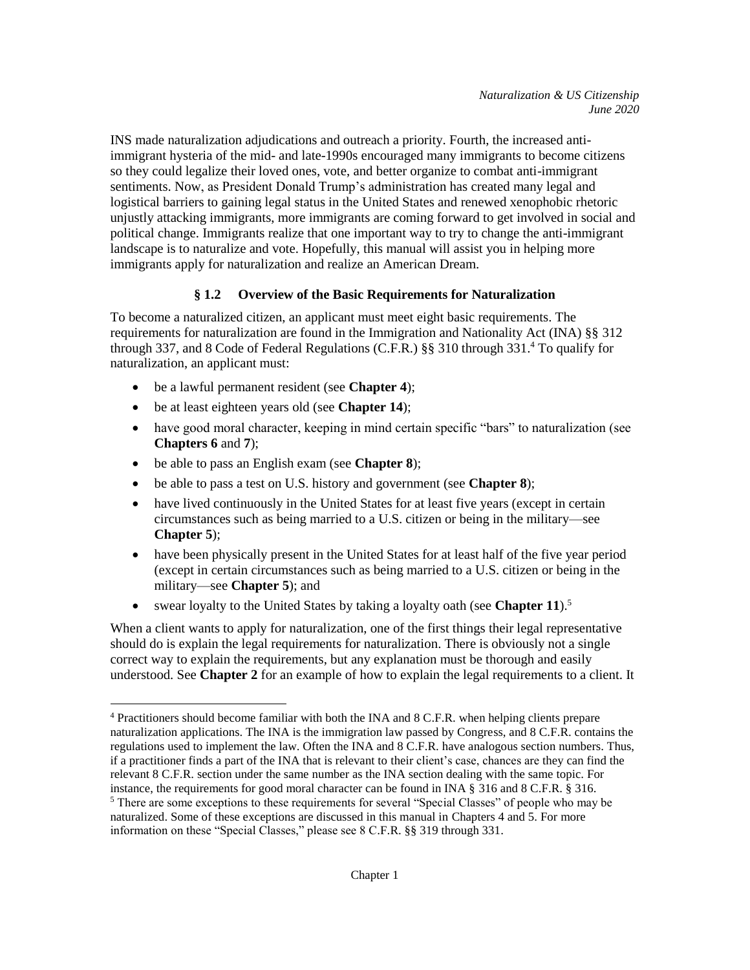INS made naturalization adjudications and outreach a priority. Fourth, the increased antiimmigrant hysteria of the mid- and late-1990s encouraged many immigrants to become citizens so they could legalize their loved ones, vote, and better organize to combat anti-immigrant sentiments. Now, as President Donald Trump's administration has created many legal and logistical barriers to gaining legal status in the United States and renewed xenophobic rhetoric unjustly attacking immigrants, more immigrants are coming forward to get involved in social and political change. Immigrants realize that one important way to try to change the anti-immigrant landscape is to naturalize and vote. Hopefully, this manual will assist you in helping more immigrants apply for naturalization and realize an American Dream.

## **§ 1.2 Overview of the Basic Requirements for Naturalization**

To become a naturalized citizen, an applicant must meet eight basic requirements. The requirements for naturalization are found in the Immigration and Nationality Act (INA) §§ 312 through 337, and 8 Code of Federal Regulations (C.F.R.) §§ 310 through 331.<sup>4</sup> To qualify for naturalization, an applicant must:

- be a lawful permanent resident (see **Chapter 4**);
- be at least eighteen years old (see **Chapter 14**);
- have good moral character, keeping in mind certain specific "bars" to naturalization (see **Chapters 6** and **7**);
- be able to pass an English exam (see **Chapter 8**);
- be able to pass a test on U.S. history and government (see **Chapter 8**);
- have lived continuously in the United States for at least five years (except in certain circumstances such as being married to a U.S. citizen or being in the military—see **Chapter 5**);
- have been physically present in the United States for at least half of the five year period (except in certain circumstances such as being married to a U.S. citizen or being in the military—see **Chapter 5**); and
- swear loyalty to the United States by taking a loyalty oath (see **Chapter 11**).<sup>5</sup>

When a client wants to apply for naturalization, one of the first things their legal representative should do is explain the legal requirements for naturalization. There is obviously not a single correct way to explain the requirements, but any explanation must be thorough and easily understood. See **Chapter 2** for an example of how to explain the legal requirements to a client. It

 $\overline{a}$ <sup>4</sup> Practitioners should become familiar with both the INA and 8 C.F.R. when helping clients prepare naturalization applications. The INA is the immigration law passed by Congress, and 8 C.F.R. contains the regulations used to implement the law. Often the INA and 8 C.F.R. have analogous section numbers. Thus, if a practitioner finds a part of the INA that is relevant to their client's case, chances are they can find the relevant 8 C.F.R. section under the same number as the INA section dealing with the same topic. For instance, the requirements for good moral character can be found in INA § 316 and 8 C.F.R. § 316.

<sup>&</sup>lt;sup>5</sup> There are some exceptions to these requirements for several "Special Classes" of people who may be naturalized. Some of these exceptions are discussed in this manual in Chapters 4 and 5. For more information on these "Special Classes," please see 8 C.F.R. §§ 319 through 331.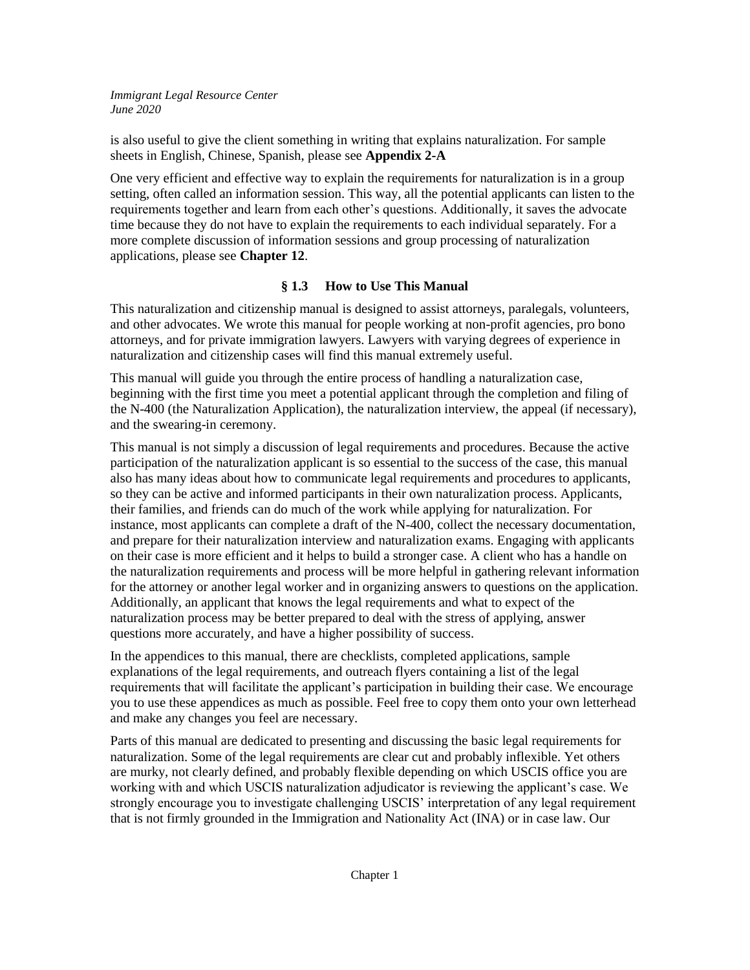is also useful to give the client something in writing that explains naturalization. For sample sheets in English, Chinese, Spanish, please see **Appendix 2-A**

One very efficient and effective way to explain the requirements for naturalization is in a group setting, often called an information session. This way, all the potential applicants can listen to the requirements together and learn from each other's questions. Additionally, it saves the advocate time because they do not have to explain the requirements to each individual separately. For a more complete discussion of information sessions and group processing of naturalization applications, please see **Chapter 12**.

# **§ 1.3 How to Use This Manual**

This naturalization and citizenship manual is designed to assist attorneys, paralegals, volunteers, and other advocates. We wrote this manual for people working at non-profit agencies, pro bono attorneys, and for private immigration lawyers. Lawyers with varying degrees of experience in naturalization and citizenship cases will find this manual extremely useful.

This manual will guide you through the entire process of handling a naturalization case, beginning with the first time you meet a potential applicant through the completion and filing of the N-400 (the Naturalization Application), the naturalization interview, the appeal (if necessary), and the swearing-in ceremony.

This manual is not simply a discussion of legal requirements and procedures. Because the active participation of the naturalization applicant is so essential to the success of the case, this manual also has many ideas about how to communicate legal requirements and procedures to applicants, so they can be active and informed participants in their own naturalization process. Applicants, their families, and friends can do much of the work while applying for naturalization. For instance, most applicants can complete a draft of the N-400, collect the necessary documentation, and prepare for their naturalization interview and naturalization exams. Engaging with applicants on their case is more efficient and it helps to build a stronger case. A client who has a handle on the naturalization requirements and process will be more helpful in gathering relevant information for the attorney or another legal worker and in organizing answers to questions on the application. Additionally, an applicant that knows the legal requirements and what to expect of the naturalization process may be better prepared to deal with the stress of applying, answer questions more accurately, and have a higher possibility of success.

In the appendices to this manual, there are checklists, completed applications, sample explanations of the legal requirements, and outreach flyers containing a list of the legal requirements that will facilitate the applicant's participation in building their case. We encourage you to use these appendices as much as possible. Feel free to copy them onto your own letterhead and make any changes you feel are necessary.

Parts of this manual are dedicated to presenting and discussing the basic legal requirements for naturalization. Some of the legal requirements are clear cut and probably inflexible. Yet others are murky, not clearly defined, and probably flexible depending on which USCIS office you are working with and which USCIS naturalization adjudicator is reviewing the applicant's case. We strongly encourage you to investigate challenging USCIS' interpretation of any legal requirement that is not firmly grounded in the Immigration and Nationality Act (INA) or in case law. Our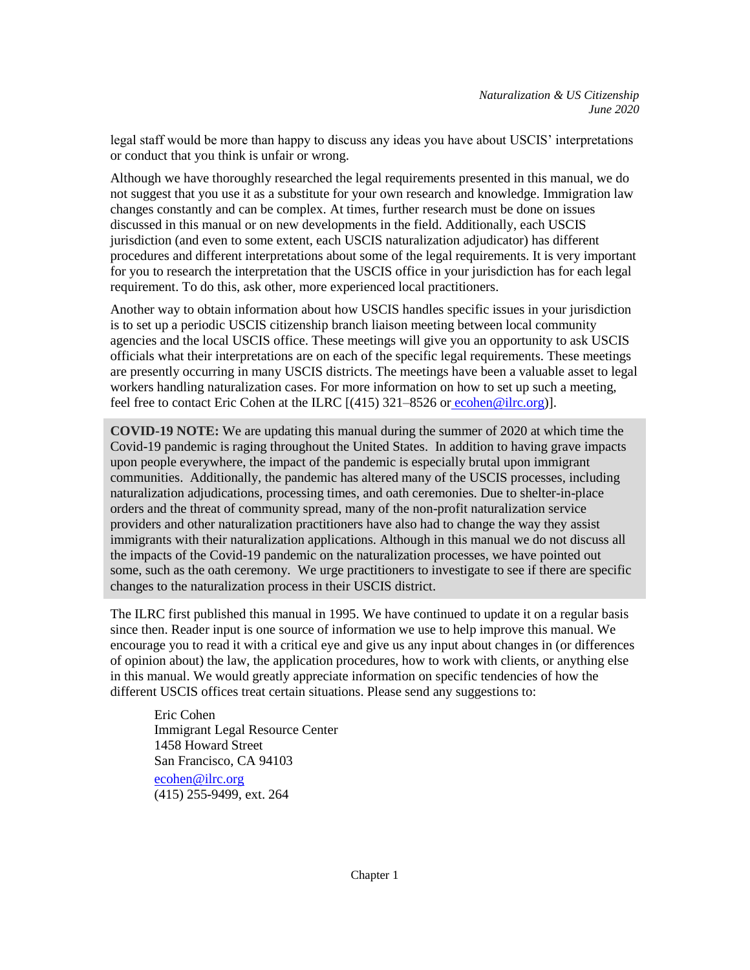legal staff would be more than happy to discuss any ideas you have about USCIS' interpretations or conduct that you think is unfair or wrong.

Although we have thoroughly researched the legal requirements presented in this manual, we do not suggest that you use it as a substitute for your own research and knowledge. Immigration law changes constantly and can be complex. At times, further research must be done on issues discussed in this manual or on new developments in the field. Additionally, each USCIS jurisdiction (and even to some extent, each USCIS naturalization adjudicator) has different procedures and different interpretations about some of the legal requirements. It is very important for you to research the interpretation that the USCIS office in your jurisdiction has for each legal requirement. To do this, ask other, more experienced local practitioners.

Another way to obtain information about how USCIS handles specific issues in your jurisdiction is to set up a periodic USCIS citizenship branch liaison meeting between local community agencies and the local USCIS office. These meetings will give you an opportunity to ask USCIS officials what their interpretations are on each of the specific legal requirements. These meetings are presently occurring in many USCIS districts. The meetings have been a valuable asset to legal workers handling naturalization cases. For more information on how to set up such a meeting, feel free to contact Eric Cohen at the ILRC [(415) 321–8526 or [ecohen@ilrc.org\)](mailto:ecohen@ilrc.org)].

**COVID-19 NOTE:** We are updating this manual during the summer of 2020 at which time the Covid-19 pandemic is raging throughout the United States. In addition to having grave impacts upon people everywhere, the impact of the pandemic is especially brutal upon immigrant communities. Additionally, the pandemic has altered many of the USCIS processes, including naturalization adjudications, processing times, and oath ceremonies. Due to shelter-in-place orders and the threat of community spread, many of the non-profit naturalization service providers and other naturalization practitioners have also had to change the way they assist immigrants with their naturalization applications. Although in this manual we do not discuss all the impacts of the Covid-19 pandemic on the naturalization processes, we have pointed out some, such as the oath ceremony. We urge practitioners to investigate to see if there are specific changes to the naturalization process in their USCIS district.

The ILRC first published this manual in 1995. We have continued to update it on a regular basis since then. Reader input is one source of information we use to help improve this manual. We encourage you to read it with a critical eye and give us any input about changes in (or differences of opinion about) the law, the application procedures, how to work with clients, or anything else in this manual. We would greatly appreciate information on specific tendencies of how the different USCIS offices treat certain situations. Please send any suggestions to:

Eric Cohen Immigrant Legal Resource Center 1458 Howard Street San Francisco, CA 94103 [ecohen@ilrc.org](mailto:ecohen@ilrc.org) (415) 255-9499, ext. 264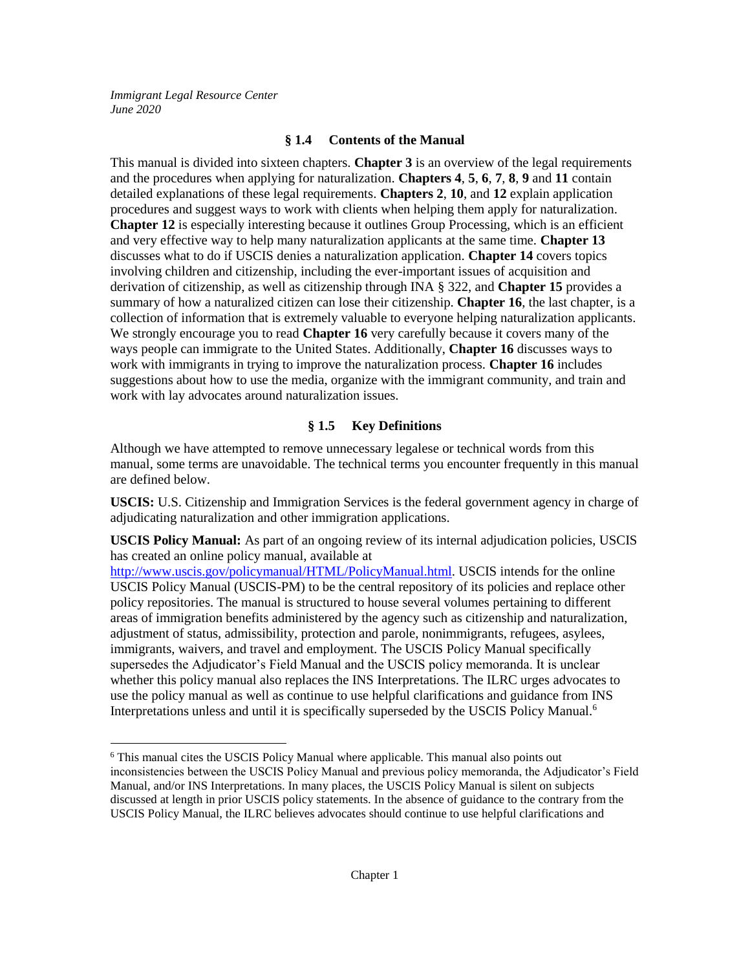$\overline{a}$ 

### **§ 1.4 Contents of the Manual**

This manual is divided into sixteen chapters. **Chapter 3** is an overview of the legal requirements and the procedures when applying for naturalization. **Chapters 4**, **5**, **6**, **7**, **8**, **9** and **11** contain detailed explanations of these legal requirements. **Chapters 2**, **10**, and **12** explain application procedures and suggest ways to work with clients when helping them apply for naturalization. **Chapter 12** is especially interesting because it outlines Group Processing, which is an efficient and very effective way to help many naturalization applicants at the same time. **Chapter 13** discusses what to do if USCIS denies a naturalization application. **Chapter 14** covers topics involving children and citizenship, including the ever-important issues of acquisition and derivation of citizenship, as well as citizenship through INA § 322, and **Chapter 15** provides a summary of how a naturalized citizen can lose their citizenship. **Chapter 16**, the last chapter, is a collection of information that is extremely valuable to everyone helping naturalization applicants. We strongly encourage you to read **Chapter 16** very carefully because it covers many of the ways people can immigrate to the United States. Additionally, **Chapter 16** discusses ways to work with immigrants in trying to improve the naturalization process. **Chapter 16** includes suggestions about how to use the media, organize with the immigrant community, and train and work with lay advocates around naturalization issues.

### **§ 1.5 Key Definitions**

Although we have attempted to remove unnecessary legalese or technical words from this manual, some terms are unavoidable. The technical terms you encounter frequently in this manual are defined below.

**USCIS:** U.S. Citizenship and Immigration Services is the federal government agency in charge of adjudicating naturalization and other immigration applications.

**USCIS Policy Manual:** As part of an ongoing review of its internal adjudication policies, USCIS has created an online policy manual, available at

[http://www.uscis.gov/policymanual/HTML/PolicyManual.html.](http://www.uscis.gov/policymanual/HTML/PolicyManual.html) USCIS intends for the online USCIS Policy Manual (USCIS-PM) to be the central repository of its policies and replace other policy repositories. The manual is structured to house several volumes pertaining to different areas of immigration benefits administered by the agency such as citizenship and naturalization, adjustment of status, admissibility, protection and parole, nonimmigrants, refugees, asylees, immigrants, waivers, and travel and employment. The USCIS Policy Manual specifically supersedes the Adjudicator's Field Manual and the USCIS policy memoranda. It is unclear whether this policy manual also replaces the INS Interpretations. The ILRC urges advocates to use the policy manual as well as continue to use helpful clarifications and guidance from INS Interpretations unless and until it is specifically superseded by the USCIS Policy Manual.<sup>6</sup>

<sup>6</sup> This manual cites the USCIS Policy Manual where applicable. This manual also points out inconsistencies between the USCIS Policy Manual and previous policy memoranda, the Adjudicator's Field Manual, and/or INS Interpretations. In many places, the USCIS Policy Manual is silent on subjects discussed at length in prior USCIS policy statements. In the absence of guidance to the contrary from the USCIS Policy Manual, the ILRC believes advocates should continue to use helpful clarifications and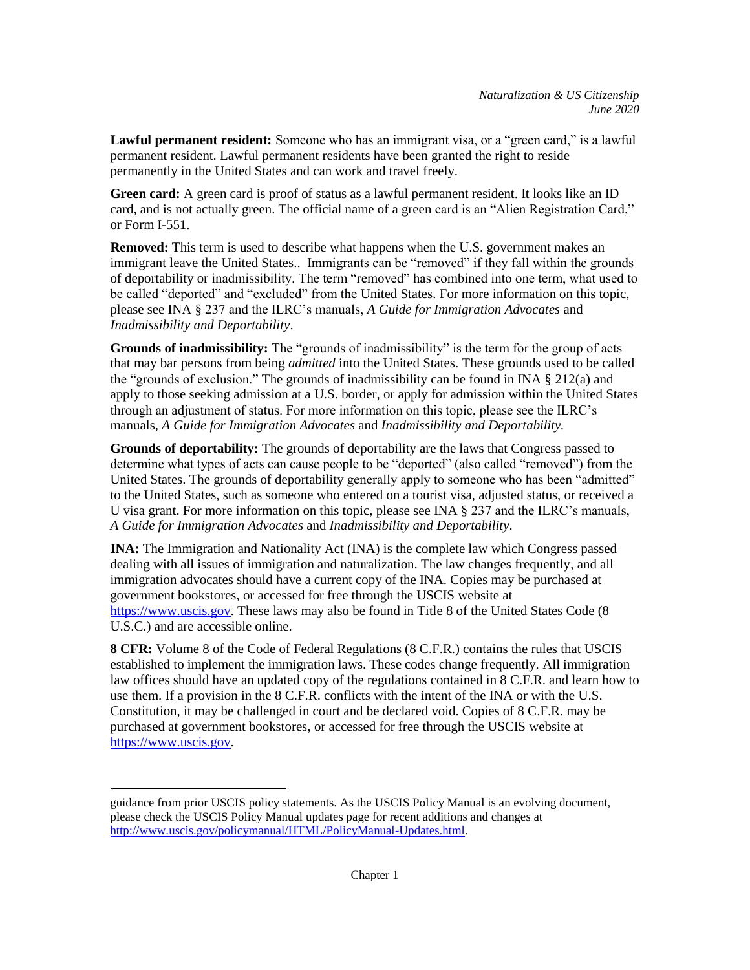**Lawful permanent resident:** Someone who has an immigrant visa, or a "green card," is a lawful permanent resident. Lawful permanent residents have been granted the right to reside permanently in the United States and can work and travel freely.

**Green card:** A green card is proof of status as a lawful permanent resident. It looks like an ID card, and is not actually green. The official name of a green card is an "Alien Registration Card," or Form I-551.

**Removed:** This term is used to describe what happens when the U.S. government makes an immigrant leave the United States.. Immigrants can be "removed" if they fall within the grounds of deportability or inadmissibility. The term "removed" has combined into one term, what used to be called "deported" and "excluded" from the United States. For more information on this topic, please see INA § 237 and the ILRC's manuals, *A Guide for Immigration Advocates* and *Inadmissibility and Deportability*.

**Grounds of inadmissibility:** The "grounds of inadmissibility" is the term for the group of acts that may bar persons from being *admitted* into the United States. These grounds used to be called the "grounds of exclusion." The grounds of inadmissibility can be found in INA  $\S$  212(a) and apply to those seeking admission at a U.S. border, or apply for admission within the United States through an adjustment of status. For more information on this topic, please see the ILRC's manuals, *A Guide for Immigration Advocates* and *Inadmissibility and Deportability.*

**Grounds of deportability:** The grounds of deportability are the laws that Congress passed to determine what types of acts can cause people to be "deported" (also called "removed") from the United States. The grounds of deportability generally apply to someone who has been "admitted" to the United States, such as someone who entered on a tourist visa, adjusted status, or received a U visa grant. For more information on this topic, please see INA § 237 and the ILRC's manuals, *A Guide for Immigration Advocates* and *Inadmissibility and Deportability*.

**INA:** The Immigration and Nationality Act (INA) is the complete law which Congress passed dealing with all issues of immigration and naturalization. The law changes frequently, and all immigration advocates should have a current copy of the INA. Copies may be purchased at government bookstores, or accessed for free through the USCIS website at [https://www.uscis.gov.](http://www.uscis.gov/) These laws may also be found in Title 8 of the United States Code (8) U.S.C.) and are accessible online.

**8 CFR:** Volume 8 of the Code of Federal Regulations (8 C.F.R.) contains the rules that USCIS established to implement the immigration laws. These codes change frequently. All immigration law offices should have an updated copy of the regulations contained in 8 C.F.R. and learn how to use them. If a provision in the 8 C.F.R. conflicts with the intent of the INA or with the U.S. Constitution, it may be challenged in court and be declared void. Copies of 8 C.F.R. may be purchased at government bookstores, or accessed for free through the USCIS website at [https://www.uscis.gov.](http://www.uscis.gov/)

 $\overline{a}$ 

guidance from prior USCIS policy statements. As the USCIS Policy Manual is an evolving document, please check the USCIS Policy Manual updates page for recent additions and changes at [http://www.uscis.gov/policymanual/HTML/PolicyManual-Updates.html.](http://www.uscis.gov/policymanual/HTML/PolicyManual-Updates.html)